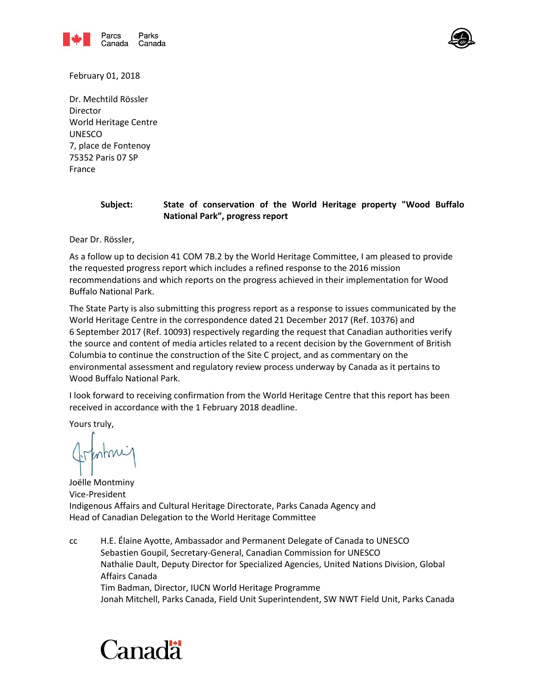



February 01, 2018

Dr. Mechtild Rössler Director World Heritage Centre UNESCO 7, place de Fontenoy 75352 Paris 07 SP France

#### **Subject: State of conservation of the World Heritage property "Wood Buffalo National Park", progress report**

Dear Dr. Rössler,

As a follow up to decision 41 COM 7B.2 by the World Heritage Committee, I am pleased to provide the requested progress report which includes a refined response to the 2016 mission recommendations and which reports on the progress achieved in their implementation for Wood Buffalo National Park.

The State Party is also submitting this progress report as a response to issues communicated by the World Heritage Centre in the correspondence dated 21 December 2017 (Ref. 10376) and 6 September 2017 (Ref. 10093) respectively regarding the request that Canadian authorities verify the source and content of media articles related to a recent decision by the Government of British Columbia to continue the construction of the Site C project, and as commentary on the environmental assessment and regulatory review process underway by Canada as it pertains to Wood Buffalo National Park.

I look forward to receiving confirmation from the World Heritage Centre that this report has been received in accordance with the 1 February 2018 deadline.

Yours truly,

Joëlle Montminy Vice-President Indigenous Affairs and Cultural Heritage Directorate, Parks Canada Agency and Head of Canadian Delegation to the World Heritage Committee

cc H.E. Élaine Ayotte, Ambassador and Permanent Delegate of Canada to UNESCO Sebastien Goupil, Secretary-General, Canadian Commission for UNESCO Nathalie Dault, Deputy Director for Specialized Agencies, United Nations Division, Global Affairs Canada Tim Badman, Director, IUCN World Heritage Programme Jonah Mitchell, Parks Canada, Field Unit Superintendent, SW NWT Field Unit, Parks Canada

# Canadä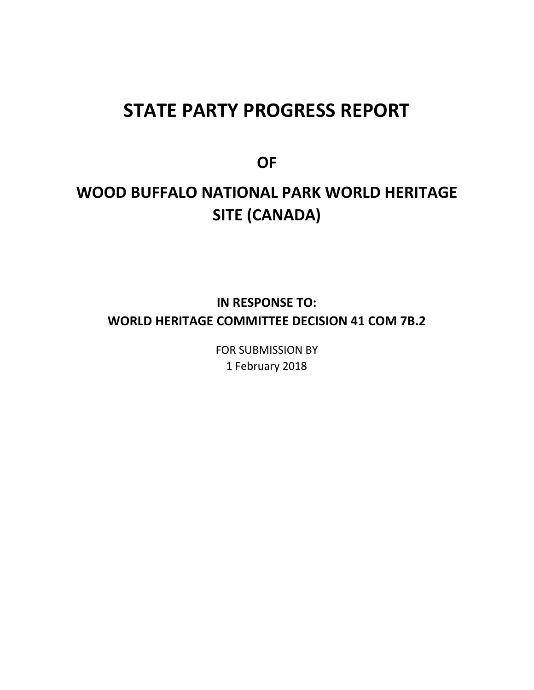## **STATE PARTY PROGRESS REPORT**

**OF** 

## **WOOD BUFFALO NATIONAL PARK WORLD HERITAGE SITE (CANADA)**

## **IN RESPONSE TO: WORLD HERITAGE COMMITTEE DECISION 41 COM 7B.2**

FOR SUBMISSION BY 1 February 2018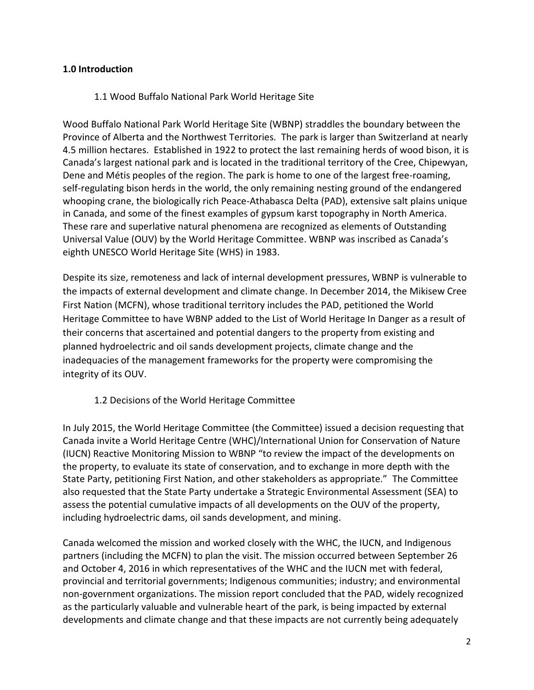### **1.0 Introduction**

#### 1.1 Wood Buffalo National Park World Heritage Site

Wood Buffalo National Park World Heritage Site (WBNP) straddles the boundary between the Province of Alberta and the Northwest Territories. The park is larger than Switzerland at nearly 4.5 million hectares. Established in 1922 to protect the last remaining herds of wood bison, it is Canada's largest national park and is located in the traditional territory of the Cree, Chipewyan, Dene and Métis peoples of the region. The park is home to one of the largest free-roaming, self-regulating bison herds in the world, the only remaining nesting ground of the endangered whooping crane, the biologically rich Peace-Athabasca Delta (PAD), extensive salt plains unique in Canada, and some of the finest examples of gypsum karst topography in North America. These rare and superlative natural phenomena are recognized as elements of Outstanding Universal Value (OUV) by the World Heritage Committee. WBNP was inscribed as Canada's eighth UNESCO World Heritage Site (WHS) in 1983.

Despite its size, remoteness and lack of internal development pressures, WBNP is vulnerable to the impacts of external development and climate change. In December 2014, the Mikisew Cree First Nation (MCFN), whose traditional territory includes the PAD, petitioned the World Heritage Committee to have WBNP added to the List of World Heritage In Danger as a result of their concerns that ascertained and potential dangers to the property from existing and planned hydroelectric and oil sands development projects, climate change and the inadequacies of the management frameworks for the property were compromising the integrity of its OUV.

## 1.2 Decisions of the World Heritage Committee

In July 2015, the World Heritage Committee (the Committee) issued a decision requesting that Canada invite a World Heritage Centre (WHC)/International Union for Conservation of Nature (IUCN) Reactive Monitoring Mission to WBNP "to review the impact of the developments on the property, to evaluate its state of conservation, and to exchange in more depth with the State Party, petitioning First Nation, and other stakeholders as appropriate." The Committee also requested that the State Party undertake a Strategic Environmental Assessment (SEA) to assess the potential cumulative impacts of all developments on the OUV of the property, including hydroelectric dams, oil sands development, and mining.

Canada welcomed the mission and worked closely with the WHC, the IUCN, and Indigenous partners (including the MCFN) to plan the visit. The mission occurred between September 26 and October 4, 2016 in which representatives of the WHC and the IUCN met with federal, provincial and territorial governments; Indigenous communities; industry; and environmental non-government organizations. The mission report concluded that the PAD, widely recognized as the particularly valuable and vulnerable heart of the park, is being impacted by external developments and climate change and that these impacts are not currently being adequately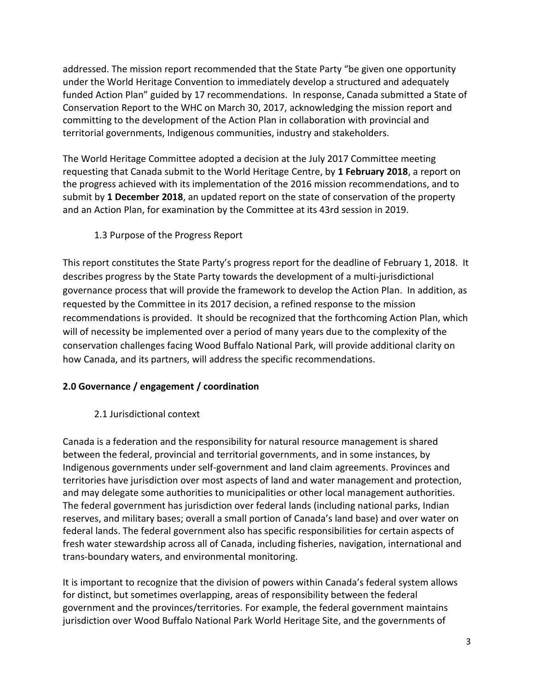addressed. The mission report recommended that the State Party "be given one opportunity under the World Heritage Convention to immediately develop a structured and adequately funded Action Plan" guided by 17 recommendations. In response, Canada submitted a State of Conservation Report to the WHC on March 30, 2017, acknowledging the mission report and committing to the development of the Action Plan in collaboration with provincial and territorial governments, Indigenous communities, industry and stakeholders.

The World Heritage Committee adopted a decision at the July 2017 Committee meeting requesting that Canada submit to the World Heritage Centre, by **1 February 2018**, a report on the progress achieved with its implementation of the 2016 mission recommendations, and to submit by **1 December 2018**, an updated report on the state of conservation of the property and an Action Plan, for examination by the Committee at its 43rd session in 2019.

## 1.3 Purpose of the Progress Report

This report constitutes the State Party's progress report for the deadline of February 1, 2018. It describes progress by the State Party towards the development of a multi-jurisdictional governance process that will provide the framework to develop the Action Plan. In addition, as requested by the Committee in its 2017 decision, a refined response to the mission recommendations is provided. It should be recognized that the forthcoming Action Plan, which will of necessity be implemented over a period of many years due to the complexity of the conservation challenges facing Wood Buffalo National Park, will provide additional clarity on how Canada, and its partners, will address the specific recommendations.

## **2.0 Governance / engagement / coordination**

2.1 Jurisdictional context

Canada is a federation and the responsibility for natural resource management is shared between the federal, provincial and territorial governments, and in some instances, by Indigenous governments under self-government and land claim agreements. Provinces and territories have jurisdiction over most aspects of land and water management and protection, and may delegate some authorities to municipalities or other local management authorities. The federal government has jurisdiction over federal lands (including national parks, Indian reserves, and military bases; overall a small portion of Canada's land base) and over water on federal lands. The federal government also has specific responsibilities for certain aspects of fresh water stewardship across all of Canada, including fisheries, navigation, international and trans-boundary waters, and environmental monitoring.

It is important to recognize that the division of powers within Canada's federal system allows for distinct, but sometimes overlapping, areas of responsibility between the federal government and the provinces/territories. For example, the federal government maintains jurisdiction over Wood Buffalo National Park World Heritage Site, and the governments of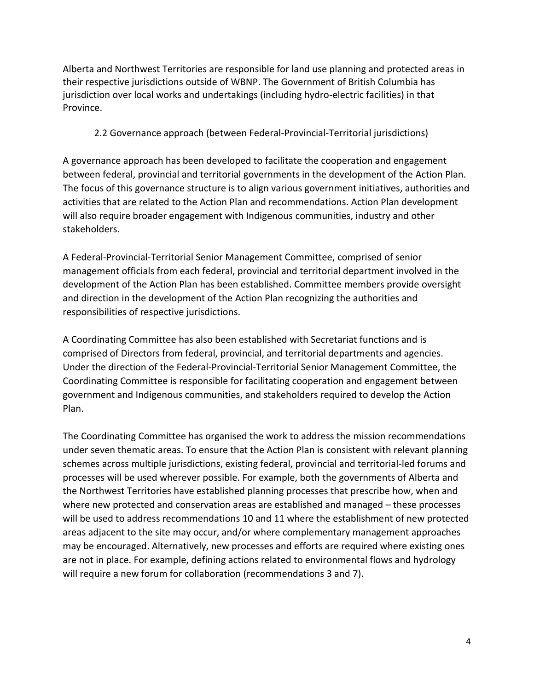Alberta and Northwest Territories are responsible for land use planning and protected areas in their respective jurisdictions outside of WBNP. The Government of British Columbia has jurisdiction over local works and undertakings (including hydro-electric facilities) in that Province.

## 2.2 Governance approach (between Federal-Provincial-Territorial jurisdictions)

A governance approach has been developed to facilitate the cooperation and engagement between federal, provincial and territorial governments in the development of the Action Plan. The focus of this governance structure is to align various government initiatives, authorities and activities that are related to the Action Plan and recommendations. Action Plan development will also require broader engagement with Indigenous communities, industry and other stakeholders.

A Federal-Provincial-Territorial Senior Management Committee, comprised of senior management officials from each federal, provincial and territorial department involved in the development of the Action Plan has been established. Committee members provide oversight and direction in the development of the Action Plan recognizing the authorities and responsibilities of respective jurisdictions.

A Coordinating Committee has also been established with Secretariat functions and is comprised of Directors from federal, provincial, and territorial departments and agencies. Under the direction of the Federal-Provincial-Territorial Senior Management Committee, the Coordinating Committee is responsible for facilitating cooperation and engagement between government and Indigenous communities, and stakeholders required to develop the Action Plan.

The Coordinating Committee has organised the work to address the mission recommendations under seven thematic areas. To ensure that the Action Plan is consistent with relevant planning schemes across multiple jurisdictions, existing federal, provincial and territorial-led forums and processes will be used wherever possible. For example, both the governments of Alberta and the Northwest Territories have established planning processes that prescribe how, when and where new protected and conservation areas are established and managed – these processes will be used to address recommendations 10 and 11 where the establishment of new protected areas adjacent to the site may occur, and/or where complementary management approaches may be encouraged. Alternatively, new processes and efforts are required where existing ones are not in place. For example, defining actions related to environmental flows and hydrology will require a new forum for collaboration (recommendations 3 and 7).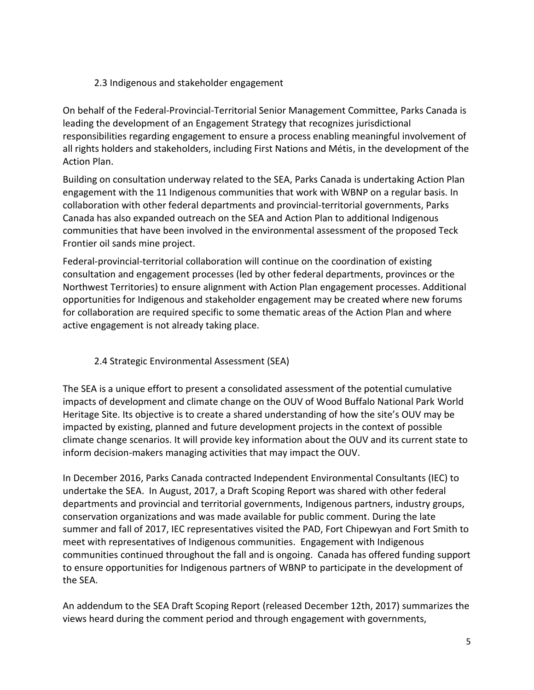## 2.3 Indigenous and stakeholder engagement

On behalf of the Federal-Provincial-Territorial Senior Management Committee, Parks Canada is leading the development of an Engagement Strategy that recognizes jurisdictional responsibilities regarding engagement to ensure a process enabling meaningful involvement of all rights holders and stakeholders, including First Nations and Métis, in the development of the Action Plan.

Building on consultation underway related to the SEA, Parks Canada is undertaking Action Plan engagement with the 11 Indigenous communities that work with WBNP on a regular basis. In collaboration with other federal departments and provincial-territorial governments, Parks Canada has also expanded outreach on the SEA and Action Plan to additional Indigenous communities that have been involved in the environmental assessment of the proposed Teck Frontier oil sands mine project.

Federal-provincial-territorial collaboration will continue on the coordination of existing consultation and engagement processes (led by other federal departments, provinces or the Northwest Territories) to ensure alignment with Action Plan engagement processes. Additional opportunities for Indigenous and stakeholder engagement may be created where new forums for collaboration are required specific to some thematic areas of the Action Plan and where active engagement is not already taking place.

## 2.4 Strategic Environmental Assessment (SEA)

The SEA is a unique effort to present a consolidated assessment of the potential cumulative impacts of development and climate change on the OUV of Wood Buffalo National Park World Heritage Site. Its objective is to create a shared understanding of how the site's OUV may be impacted by existing, planned and future development projects in the context of possible climate change scenarios. It will provide key information about the OUV and its current state to inform decision-makers managing activities that may impact the OUV.

In December 2016, Parks Canada contracted Independent Environmental Consultants (IEC) to undertake the SEA. In August, 2017, a Draft Scoping Report was shared with other federal departments and provincial and territorial governments, Indigenous partners, industry groups, conservation organizations and was made available for public comment. During the late summer and fall of 2017, IEC representatives visited the PAD, Fort Chipewyan and Fort Smith to meet with representatives of Indigenous communities. Engagement with Indigenous communities continued throughout the fall and is ongoing. Canada has offered funding support to ensure opportunities for Indigenous partners of WBNP to participate in the development of the SEA.

An addendum to the SEA Draft Scoping Report (released December 12th, 2017) summarizes the views heard during the comment period and through engagement with governments,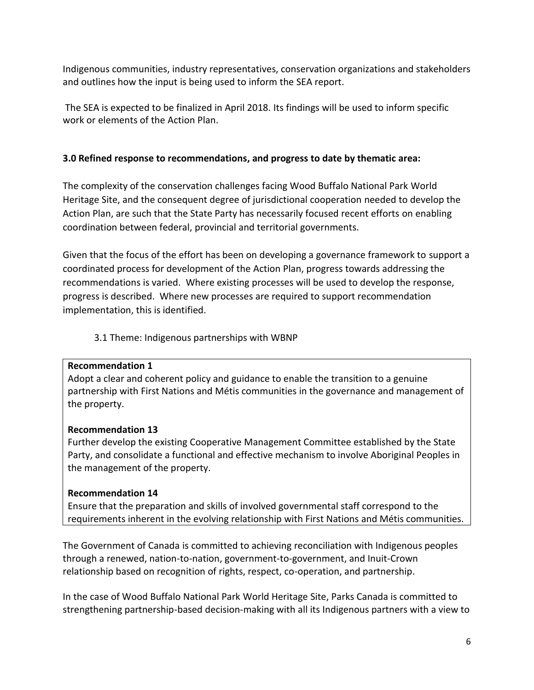Indigenous communities, industry representatives, conservation organizations and stakeholders and outlines how the input is being used to inform the SEA report.

The SEA is expected to be finalized in April 2018. Its findings will be used to inform specific work or elements of the Action Plan.

## **3.0 Refined response to recommendations, and progress to date by thematic area:**

The complexity of the conservation challenges facing Wood Buffalo National Park World Heritage Site, and the consequent degree of jurisdictional cooperation needed to develop the Action Plan, are such that the State Party has necessarily focused recent efforts on enabling coordination between federal, provincial and territorial governments.

Given that the focus of the effort has been on developing a governance framework to support a coordinated process for development of the Action Plan, progress towards addressing the recommendations is varied. Where existing processes will be used to develop the response, progress is described. Where new processes are required to support recommendation implementation, this is identified.

## 3.1 Theme: Indigenous partnerships with WBNP

## **Recommendation 1**

Adopt a clear and coherent policy and guidance to enable the transition to a genuine partnership with First Nations and Métis communities in the governance and management of the property.

## **Recommendation 13**

Further develop the existing Cooperative Management Committee established by the State Party, and consolidate a functional and effective mechanism to involve Aboriginal Peoples in the management of the property.

## **Recommendation 14**

Ensure that the preparation and skills of involved governmental staff correspond to the requirements inherent in the evolving relationship with First Nations and Métis communities.

The Government of Canada is committed to achieving reconciliation with Indigenous peoples through a renewed, nation-to-nation, government-to-government, and Inuit-Crown relationship based on recognition of rights, respect, co-operation, and partnership.

In the case of Wood Buffalo National Park World Heritage Site, Parks Canada is committed to strengthening partnership-based decision-making with all its Indigenous partners with a view to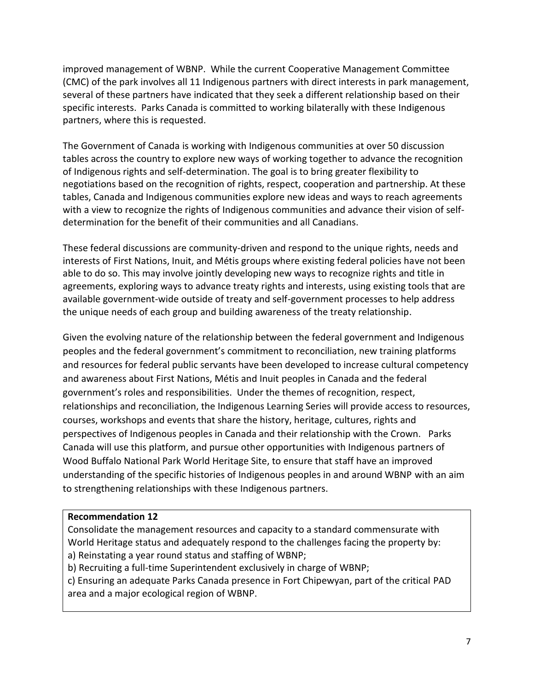improved management of WBNP. While the current Cooperative Management Committee (CMC) of the park involves all 11 Indigenous partners with direct interests in park management, several of these partners have indicated that they seek a different relationship based on their specific interests. Parks Canada is committed to working bilaterally with these Indigenous partners, where this is requested.

The Government of Canada is working with Indigenous communities at over 50 discussion tables across the country to explore new ways of working together to advance the recognition of Indigenous rights and self-determination. The goal is to bring greater flexibility to negotiations based on the recognition of rights, respect, cooperation and partnership. At these tables, Canada and Indigenous communities explore new ideas and ways to reach agreements with a view to recognize the rights of Indigenous communities and advance their vision of selfdetermination for the benefit of their communities and all Canadians.

These federal discussions are community-driven and respond to the unique rights, needs and interests of First Nations, Inuit, and Métis groups where existing federal policies have not been able to do so. This may involve jointly developing new ways to recognize rights and title in agreements, exploring ways to advance treaty rights and interests, using existing tools that are available government-wide outside of treaty and self-government processes to help address the unique needs of each group and building awareness of the treaty relationship.

Given the evolving nature of the relationship between the federal government and Indigenous peoples and the federal government's commitment to reconciliation, new training platforms and resources for federal public servants have been developed to increase cultural competency and awareness about First Nations, Métis and Inuit peoples in Canada and the federal government's roles and responsibilities. Under the themes of recognition, respect, relationships and reconciliation, the Indigenous Learning Series will provide access to resources, courses, workshops and events that share the history, heritage, cultures, rights and perspectives of Indigenous peoples in Canada and their relationship with the Crown. Parks Canada will use this platform, and pursue other opportunities with Indigenous partners of Wood Buffalo National Park World Heritage Site, to ensure that staff have an improved understanding of the specific histories of Indigenous peoples in and around WBNP with an aim to strengthening relationships with these Indigenous partners.

## **Recommendation 12**

Consolidate the management resources and capacity to a standard commensurate with World Heritage status and adequately respond to the challenges facing the property by: a) Reinstating a year round status and staffing of WBNP;

b) Recruiting a full-time Superintendent exclusively in charge of WBNP;

c) Ensuring an adequate Parks Canada presence in Fort Chipewyan, part of the critical PAD area and a major ecological region of WBNP.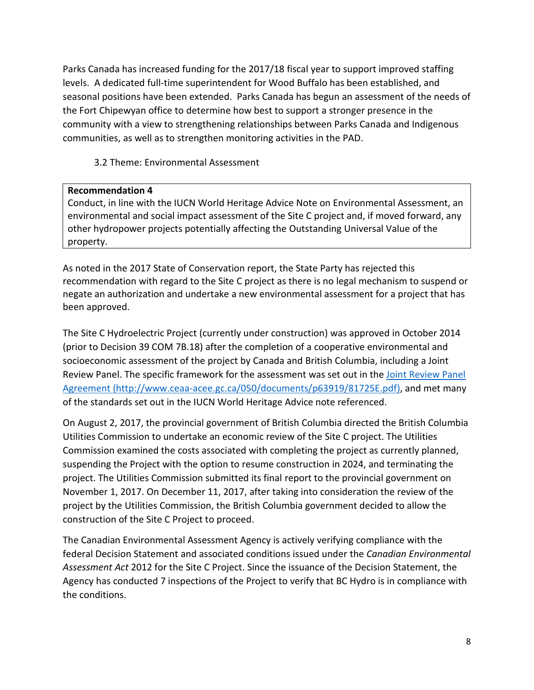Parks Canada has increased funding for the 2017/18 fiscal year to support improved staffing levels. A dedicated full-time superintendent for Wood Buffalo has been established, and seasonal positions have been extended. Parks Canada has begun an assessment of the needs of the Fort Chipewyan office to determine how best to support a stronger presence in the community with a view to strengthening relationships between Parks Canada and Indigenous communities, as well as to strengthen monitoring activities in the PAD.

3.2 Theme: Environmental Assessment

#### **Recommendation 4**

Conduct, in line with the IUCN World Heritage Advice Note on Environmental Assessment, an environmental and social impact assessment of the Site C project and, if moved forward, any other hydropower projects potentially affecting the Outstanding Universal Value of the property.

As noted in the 2017 State of Conservation report, the State Party has rejected this recommendation with regard to the Site C project as there is no legal mechanism to suspend or negate an authorization and undertake a new environmental assessment for a project that has been approved.

The Site C Hydroelectric Project (currently under construction) was approved in October 2014 (prior to Decision 39 COM 7B.18) after the completion of a cooperative environmental and socioeconomic assessment of the project by Canada and British Columbia, including a Joint Review Panel. The specific framework for the assessment was set out in the [Joint Review Panel](http://a100.gov.bc.ca/appsdata/epic/documents/p371/1348674534143_bae3e7e1efa0f7c2275bd3c500afc6a0aaf9284d0cfc636e990cc51c6aeca044.pdf)  [Agreement](http://a100.gov.bc.ca/appsdata/epic/documents/p371/1348674534143_bae3e7e1efa0f7c2275bd3c500afc6a0aaf9284d0cfc636e990cc51c6aeca044.pdf) [\(http://www.ceaa-acee.gc.ca/050/documents/p63919/81725E.pdf\)](http://www.ceaa-acee.gc.ca/050/documents/p63919/81725E.pdf), and met many of the standards set out in the IUCN World Heritage Advice note referenced.

On August 2, 2017, the provincial government of British Columbia directed the British Columbia Utilities Commission to undertake an economic review of the Site C project. The Utilities Commission examined the costs associated with completing the project as currently planned, suspending the Project with the option to resume construction in 2024, and terminating the project. The Utilities Commission submitted its final report to the provincial government on November 1, 2017. On December 11, 2017, after taking into consideration the review of the project by the Utilities Commission, the British Columbia government decided to allow the construction of the Site C Project to proceed.

The Canadian Environmental Assessment Agency is actively verifying compliance with the federal Decision Statement and associated conditions issued under the *Canadian Environmental Assessment Act* 2012 for the Site C Project. Since the issuance of the Decision Statement, the Agency has conducted 7 inspections of the Project to verify that BC Hydro is in compliance with the conditions.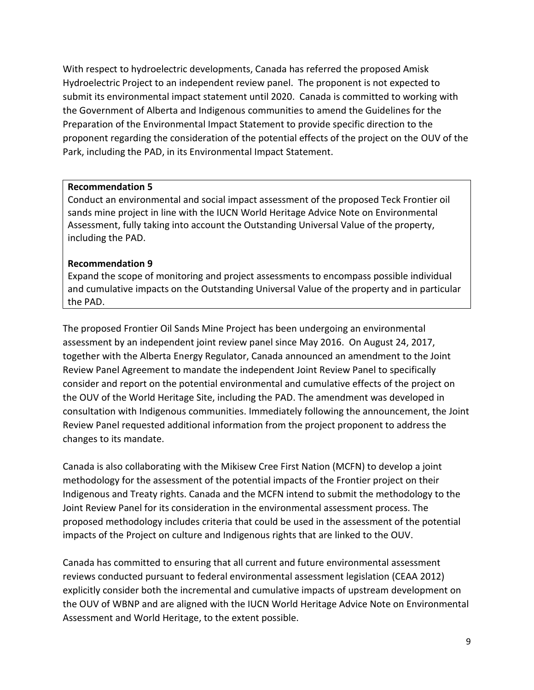With respect to hydroelectric developments, Canada has referred the proposed Amisk Hydroelectric Project to an independent review panel. The proponent is not expected to submit its environmental impact statement until 2020. Canada is committed to working with the Government of Alberta and Indigenous communities to amend the Guidelines for the Preparation of the Environmental Impact Statement to provide specific direction to the proponent regarding the consideration of the potential effects of the project on the OUV of the Park, including the PAD, in its Environmental Impact Statement.

#### **Recommendation 5**

Conduct an environmental and social impact assessment of the proposed Teck Frontier oil sands mine project in line with the IUCN World Heritage Advice Note on Environmental Assessment, fully taking into account the Outstanding Universal Value of the property, including the PAD.

#### **Recommendation 9**

Expand the scope of monitoring and project assessments to encompass possible individual and cumulative impacts on the Outstanding Universal Value of the property and in particular the PAD.

The proposed Frontier Oil Sands Mine Project has been undergoing an environmental assessment by an independent joint review panel since May 2016. On August 24, 2017, together with the Alberta Energy Regulator, Canada announced an amendment to the Joint Review Panel Agreement to mandate the independent Joint Review Panel to specifically consider and report on the potential environmental and cumulative effects of the project on the OUV of the World Heritage Site, including the PAD. The amendment was developed in consultation with Indigenous communities. Immediately following the announcement, the Joint Review Panel requested additional information from the project proponent to address the changes to its mandate.

Canada is also collaborating with the Mikisew Cree First Nation (MCFN) to develop a joint methodology for the assessment of the potential impacts of the Frontier project on their Indigenous and Treaty rights. Canada and the MCFN intend to submit the methodology to the Joint Review Panel for its consideration in the environmental assessment process. The proposed methodology includes criteria that could be used in the assessment of the potential impacts of the Project on culture and Indigenous rights that are linked to the OUV.

Canada has committed to ensuring that all current and future environmental assessment reviews conducted pursuant to federal environmental assessment legislation (CEAA 2012) explicitly consider both the incremental and cumulative impacts of upstream development on the OUV of WBNP and are aligned with the IUCN World Heritage Advice Note on Environmental Assessment and World Heritage, to the extent possible.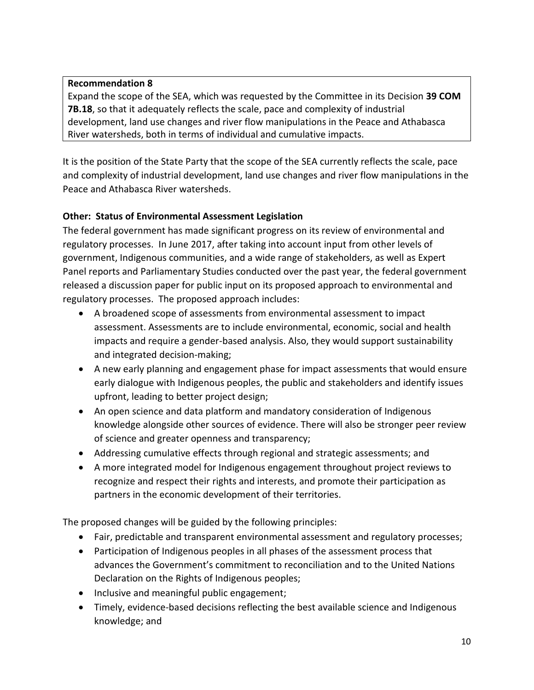## **Recommendation 8**

Expand the scope of the SEA, which was requested by the Committee in its Decision **39 COM 7B.18**, so that it adequately reflects the scale, pace and complexity of industrial development, land use changes and river flow manipulations in the Peace and Athabasca River watersheds, both in terms of individual and cumulative impacts.

It is the position of the State Party that the scope of the SEA currently reflects the scale, pace and complexity of industrial development, land use changes and river flow manipulations in the Peace and Athabasca River watersheds.

## **Other: Status of Environmental Assessment Legislation**

The federal government has made significant progress on its review of environmental and regulatory processes. In June 2017, after taking into account input from other levels of government, Indigenous communities, and a wide range of stakeholders, as well as Expert Panel reports and Parliamentary Studies conducted over the past year, the federal government released a discussion paper for public input on its proposed approach to environmental and regulatory processes. The proposed approach includes:

- A broadened scope of assessments from environmental assessment to impact assessment. Assessments are to include environmental, economic, social and health impacts and require a gender-based analysis. Also, they would support sustainability and integrated decision-making;
- A new early planning and engagement phase for impact assessments that would ensure early dialogue with Indigenous peoples, the public and stakeholders and identify issues upfront, leading to better project design;
- An open science and data platform and mandatory consideration of Indigenous knowledge alongside other sources of evidence. There will also be stronger peer review of science and greater openness and transparency;
- Addressing cumulative effects through regional and strategic assessments; and
- A more integrated model for Indigenous engagement throughout project reviews to recognize and respect their rights and interests, and promote their participation as partners in the economic development of their territories.

The proposed changes will be guided by the following principles:

- Fair, predictable and transparent environmental assessment and regulatory processes;
- Participation of Indigenous peoples in all phases of the assessment process that advances the Government's commitment to reconciliation and to the United Nations Declaration on the Rights of Indigenous peoples;
- Inclusive and meaningful public engagement;
- Timely, evidence-based decisions reflecting the best available science and Indigenous knowledge; and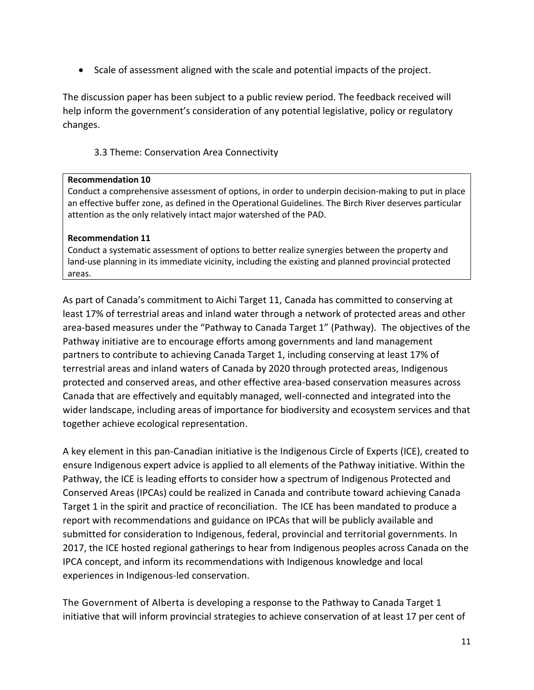• Scale of assessment aligned with the scale and potential impacts of the project.

The discussion paper has been subject to a public review period. The feedback received will help inform the government's consideration of any potential legislative, policy or regulatory changes.

## 3.3 Theme: Conservation Area Connectivity

#### **Recommendation 10**

Conduct a comprehensive assessment of options, in order to underpin decision-making to put in place an effective buffer zone, as defined in the Operational Guidelines. The Birch River deserves particular attention as the only relatively intact major watershed of the PAD.

#### **Recommendation 11**

Conduct a systematic assessment of options to better realize synergies between the property and land-use planning in its immediate vicinity, including the existing and planned provincial protected areas.

As part of Canada's commitment to Aichi Target 11, Canada has committed to conserving at least 17% of terrestrial areas and inland water through a network of protected areas and other area-based measures under the "Pathway to Canada Target 1" (Pathway). The objectives of the Pathway initiative are to encourage efforts among governments and land management partners to contribute to achieving Canada Target 1, including conserving at least 17% of terrestrial areas and inland waters of Canada by 2020 through protected areas, Indigenous protected and conserved areas, and other effective area-based conservation measures across Canada that are effectively and equitably managed, well-connected and integrated into the wider landscape, including areas of importance for biodiversity and ecosystem services and that together achieve ecological representation.

A key element in this pan-Canadian initiative is the Indigenous Circle of Experts (ICE), created to ensure Indigenous expert advice is applied to all elements of the Pathway initiative. Within the Pathway, the ICE is leading efforts to consider how a spectrum of Indigenous Protected and Conserved Areas (IPCAs) could be realized in Canada and contribute toward achieving Canada Target 1 in the spirit and practice of reconciliation. The ICE has been mandated to produce a report with recommendations and guidance on IPCAs that will be publicly available and submitted for consideration to Indigenous, federal, provincial and territorial governments. In 2017, the ICE hosted regional gatherings to hear from Indigenous peoples across Canada on the IPCA concept, and inform its recommendations with Indigenous knowledge and local experiences in Indigenous-led conservation.

The Government of Alberta is developing a response to the Pathway to Canada Target 1 initiative that will inform provincial strategies to achieve conservation of at least 17 per cent of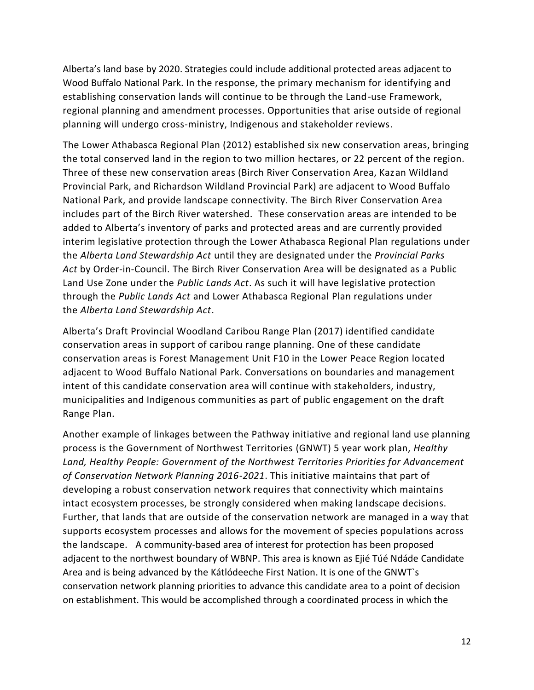Alberta's land base by 2020. Strategies could include additional protected areas adjacent to Wood Buffalo National Park. In the response, the primary mechanism for identifying and establishing conservation lands will continue to be through the Land-use Framework, regional planning and amendment processes. Opportunities that arise outside of regional planning will undergo cross-ministry, Indigenous and stakeholder reviews.

The Lower Athabasca Regional Plan (2012) established six new conservation areas, bringing the total conserved land in the region to two million hectares, or 22 percent of the region. Three of these new conservation areas (Birch River Conservation Area, Kazan Wildland Provincial Park, and Richardson Wildland Provincial Park) are adjacent to Wood Buffalo National Park, and provide landscape connectivity. The Birch River Conservation Area includes part of the Birch River watershed. These conservation areas are intended to be added to Alberta's inventory of parks and protected areas and are currently provided interim legislative protection through the Lower Athabasca Regional Plan regulations under the *Alberta Land Stewardship Act* until they are designated under the *Provincial Parks Act* by Order-in-Council. The Birch River Conservation Area will be designated as a Public Land Use Zone under the *Public Lands Act*. As such it will have legislative protection through the *Public Lands Act* and Lower Athabasca Regional Plan regulations under the *Alberta Land Stewardship Act*.

Alberta's Draft Provincial Woodland Caribou Range Plan (2017) identified candidate conservation areas in support of caribou range planning. One of these candidate conservation areas is Forest Management Unit F10 in the Lower Peace Region located adjacent to Wood Buffalo National Park. Conversations on boundaries and management intent of this candidate conservation area will continue with stakeholders, industry, municipalities and Indigenous communities as part of public engagement on the draft Range Plan.

Another example of linkages between the Pathway initiative and regional land use planning process is the Government of Northwest Territories (GNWT) 5 year work plan, *Healthy Land, Healthy People: Government of the Northwest Territories Priorities for Advancement of Conservation Network Planning 2016-2021*. This initiative maintains that part of developing a robust conservation network requires that connectivity which maintains intact ecosystem processes, be strongly considered when making landscape decisions. Further, that lands that are outside of the conservation network are managed in a way that supports ecosystem processes and allows for the movement of species populations across the landscape. A community-based area of interest for protection has been proposed adjacent to the northwest boundary of WBNP. This area is known as Ejié Túé Ndáde Candidate Area and is being advanced by the Kátlódeeche First Nation. It is one of the GNWT`s conservation network planning priorities to advance this candidate area to a point of decision on establishment. This would be accomplished through a coordinated process in which the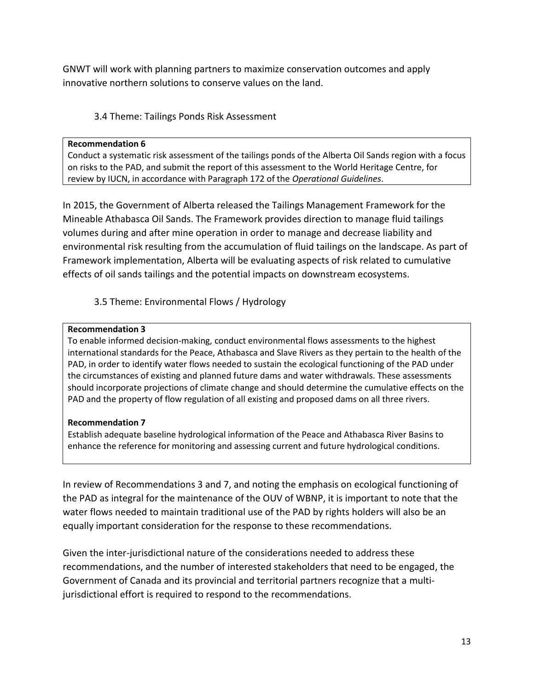GNWT will work with planning partners to maximize conservation outcomes and apply innovative northern solutions to conserve values on the land.

## 3.4 Theme: Tailings Ponds Risk Assessment

#### **Recommendation 6**

Conduct a systematic risk assessment of the tailings ponds of the Alberta Oil Sands region with a focus on risks to the PAD, and submit the report of this assessment to the World Heritage Centre, for review by IUCN, in accordance with Paragraph 172 of the *Operational Guidelines*.

In 2015, the Government of Alberta released the Tailings Management Framework for the Mineable Athabasca Oil Sands. The Framework provides direction to manage fluid tailings volumes during and after mine operation in order to manage and decrease liability and environmental risk resulting from the accumulation of fluid tailings on the landscape. As part of Framework implementation, Alberta will be evaluating aspects of risk related to cumulative effects of oil sands tailings and the potential impacts on downstream ecosystems.

3.5 Theme: Environmental Flows / Hydrology

#### **Recommendation 3**

To enable informed decision-making, conduct environmental flows assessments to the highest international standards for the Peace, Athabasca and Slave Rivers as they pertain to the health of the PAD, in order to identify water flows needed to sustain the ecological functioning of the PAD under the circumstances of existing and planned future dams and water withdrawals. These assessments should incorporate projections of climate change and should determine the cumulative effects on the PAD and the property of flow regulation of all existing and proposed dams on all three rivers.

#### **Recommendation 7**

Establish adequate baseline hydrological information of the Peace and Athabasca River Basins to enhance the reference for monitoring and assessing current and future hydrological conditions.

In review of Recommendations 3 and 7, and noting the emphasis on ecological functioning of the PAD as integral for the maintenance of the OUV of WBNP, it is important to note that the water flows needed to maintain traditional use of the PAD by rights holders will also be an equally important consideration for the response to these recommendations.

Given the inter-jurisdictional nature of the considerations needed to address these recommendations, and the number of interested stakeholders that need to be engaged, the Government of Canada and its provincial and territorial partners recognize that a multijurisdictional effort is required to respond to the recommendations.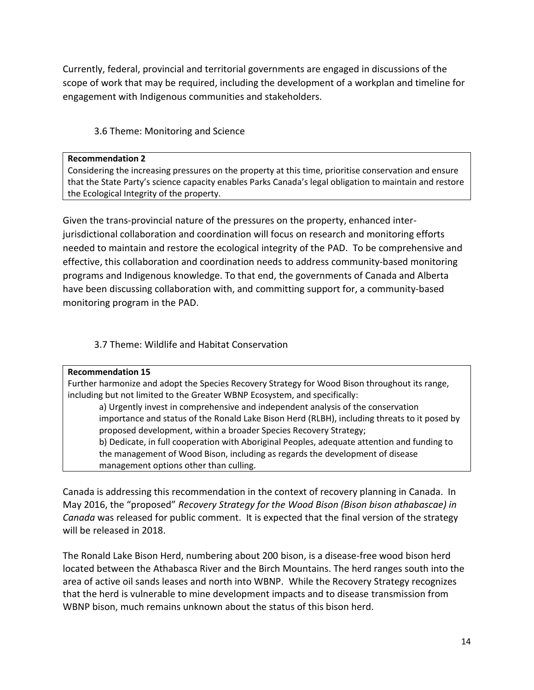Currently, federal, provincial and territorial governments are engaged in discussions of the scope of work that may be required, including the development of a workplan and timeline for engagement with Indigenous communities and stakeholders.

## 3.6 Theme: Monitoring and Science

#### **Recommendation 2**

Considering the increasing pressures on the property at this time, prioritise conservation and ensure that the State Party's science capacity enables Parks Canada's legal obligation to maintain and restore the Ecological Integrity of the property.

Given the trans-provincial nature of the pressures on the property, enhanced interjurisdictional collaboration and coordination will focus on research and monitoring efforts needed to maintain and restore the ecological integrity of the PAD. To be comprehensive and effective, this collaboration and coordination needs to address community-based monitoring programs and Indigenous knowledge. To that end, the governments of Canada and Alberta have been discussing collaboration with, and committing support for, a community-based monitoring program in the PAD.

## 3.7 Theme: Wildlife and Habitat Conservation

#### **Recommendation 15**

Further harmonize and adopt the Species Recovery Strategy for Wood Bison throughout its range, including but not limited to the Greater WBNP Ecosystem, and specifically:

a) Urgently invest in comprehensive and independent analysis of the conservation importance and status of the Ronald Lake Bison Herd (RLBH), including threats to it posed by proposed development, within a broader Species Recovery Strategy; b) Dedicate, in full cooperation with Aboriginal Peoples, adequate attention and funding to the management of Wood Bison, including as regards the development of disease

management options other than culling.

Canada is addressing this recommendation in the context of recovery planning in Canada. In May 2016, the "proposed" *Recovery Strategy for the Wood Bison (Bison bison athabascae) in Canada* was released for public comment. It is expected that the final version of the strategy will be released in 2018.

The Ronald Lake Bison Herd, numbering about 200 bison, is a disease-free wood bison herd located between the Athabasca River and the Birch Mountains. The herd ranges south into the area of active oil sands leases and north into WBNP. While the Recovery Strategy recognizes that the herd is vulnerable to mine development impacts and to disease transmission from WBNP bison, much remains unknown about the status of this bison herd.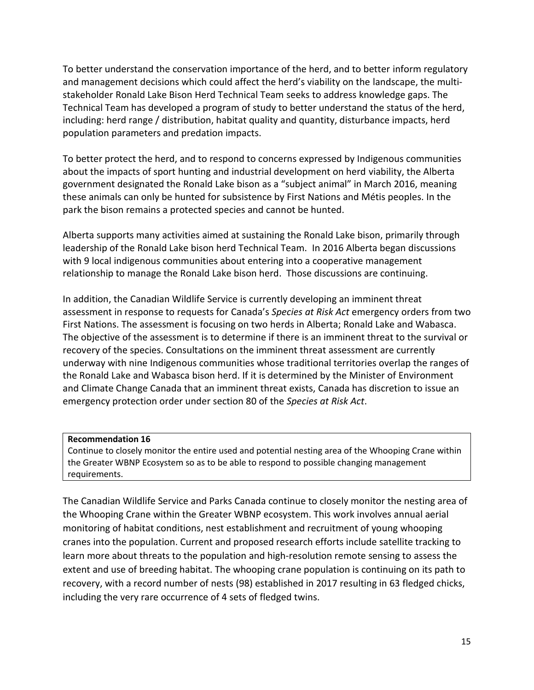To better understand the conservation importance of the herd, and to better inform regulatory and management decisions which could affect the herd's viability on the landscape, the multistakeholder Ronald Lake Bison Herd Technical Team seeks to address knowledge gaps. The Technical Team has developed a program of study to better understand the status of the herd, including: herd range / distribution, habitat quality and quantity, disturbance impacts, herd population parameters and predation impacts.

To better protect the herd, and to respond to concerns expressed by Indigenous communities about the impacts of sport hunting and industrial development on herd viability, the Alberta government designated the Ronald Lake bison as a "subject animal" in March 2016, meaning these animals can only be hunted for subsistence by First Nations and Métis peoples. In the park the bison remains a protected species and cannot be hunted.

Alberta supports many activities aimed at sustaining the Ronald Lake bison, primarily through leadership of the Ronald Lake bison herd Technical Team. In 2016 Alberta began discussions with 9 local indigenous communities about entering into a cooperative management relationship to manage the Ronald Lake bison herd. Those discussions are continuing.

In addition, the Canadian Wildlife Service is currently developing an imminent threat assessment in response to requests for Canada's *Species at Risk Act* emergency orders from two First Nations. The assessment is focusing on two herds in Alberta; Ronald Lake and Wabasca. The objective of the assessment is to determine if there is an imminent threat to the survival or recovery of the species. Consultations on the imminent threat assessment are currently underway with nine Indigenous communities whose traditional territories overlap the ranges of the Ronald Lake and Wabasca bison herd. If it is determined by the Minister of Environment and Climate Change Canada that an imminent threat exists, Canada has discretion to issue an emergency protection order under section 80 of the *Species at Risk Act*.

#### **Recommendation 16**

Continue to closely monitor the entire used and potential nesting area of the Whooping Crane within the Greater WBNP Ecosystem so as to be able to respond to possible changing management requirements.

The Canadian Wildlife Service and Parks Canada continue to closely monitor the nesting area of the Whooping Crane within the Greater WBNP ecosystem. This work involves annual aerial monitoring of habitat conditions, nest establishment and recruitment of young whooping cranes into the population. Current and proposed research efforts include satellite tracking to learn more about threats to the population and high-resolution remote sensing to assess the extent and use of breeding habitat. The whooping crane population is continuing on its path to recovery, with a record number of nests (98) established in 2017 resulting in 63 fledged chicks, including the very rare occurrence of 4 sets of fledged twins.